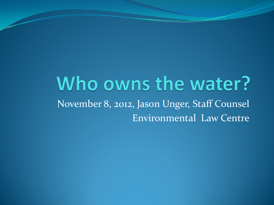#### Who owns the water? November 8, 2012, Jason Unger, Staff Counsel Environmental Law Centre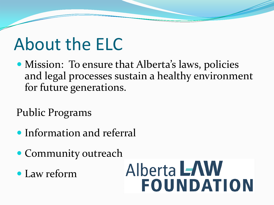### About the ELC

• Mission: To ensure that Alberta's laws, policies and legal processes sustain a healthy environment for future generations.

Public Programs

- Information and referral
- Community outreach
- Law reform

# Alberta LAW **FOUNDATION**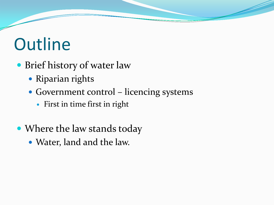# **Outline**

- Brief history of water law
	- Riparian rights
	- Government control licencing systems
		- First in time first in right
- Where the law stands today
	- Water, land and the law.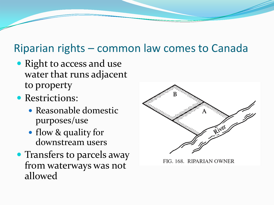#### Riparian rights – common law comes to Canada

- Right to access and use water that runs adjacent to property
- Restrictions:
	- Reasonable domestic purposes/use
	- flow & quality for downstream users
- Transfers to parcels away from waterways was not allowed



FIG. 168. RIPARIAN OWNER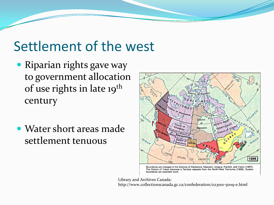#### Settlement of the west

- Riparian rights gave way to government allocation of use rights in late 19<sup>th</sup> century
- Water short areas made settlement tenuous



Boundaries are changed in the Districts of Mackenzie, Keewatin, Ungava, Franklin, and Yukon (1897). The District of Yukon becomes a Territory separate from the North-West Territories (1898). Quebec boundaries are extended north.

Library and Archives Canada: http://www.collectionscanada.gc.ca/confederation/023001-5009-e.html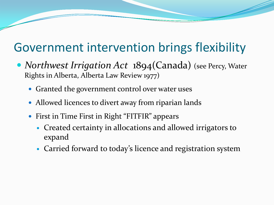#### Government intervention brings flexibility

- *Northwest Irrigation Act* 1894(Canada) (see Percy, Water Rights in Alberta, Alberta Law Review 1977)
	- Granted the government control over water uses
	- Allowed licences to divert away from riparian lands
	- First in Time First in Right "FITFIR" appears
		- Created certainty in allocations and allowed irrigators to expand
		- Carried forward to today's licence and registration system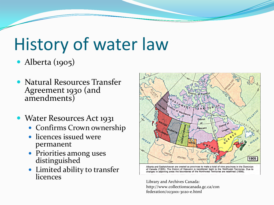# History of water law

#### • Alberta (1905)

- Natural Resources Transfer Agreement 1930 (and amendments)
- Water Resources Act 1931
	- Confirms Crown ownership
	- licences issued were permanent
	- Priorities among uses distinguished
	- Limited ability to transfer licences



Alberta and Saskatchewan are created as provinces to make a total of nine provinces in the Dominion of Canada (1905). The District of Keewatin is transferred back to the Northwest Territories. Due to changes in adjoining areas the boundaries of the Northwest Territories are redefined (1906).

Library and Archives Canada: http://www.collectionscanada.gc.ca/con federation/023001-3020-e.html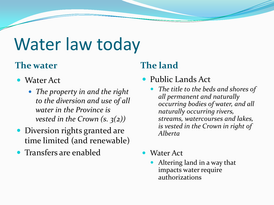## Water law today

#### **The water The land**

- Water Act
	- *The property in and the right to the diversion and use of all water in the Province is vested in the Crown (s. 3(2))*
- Diversion rights granted are time limited (and renewable)
- Transfers are enabled

- Public Lands Act
	- *The title to the beds and shores of all permanent and naturally occurring bodies of water, and all naturally occurring rivers, streams, watercourses and lakes, is vested in the Crown in right of Alberta*
- Water Act
	- Altering land in a way that impacts water require authorizations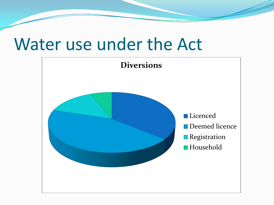#### Water use under the Act

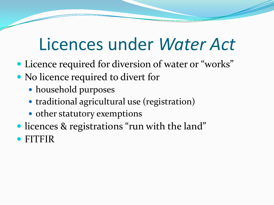### Licences under *Water Act*

- Licence required for diversion of water or "works"
- No licence required to divert for
	- household purposes
	- traditional agricultural use (registration)
	- other statutory exemptions
- licences & registrations "run with the land" FITFIR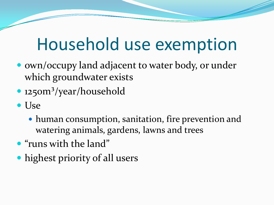#### Household use exemption

- own/occupy land adjacent to water body, or under which groundwater exists
- 1250m<sup>3</sup>/year/household
- Use
	- human consumption, sanitation, fire prevention and watering animals, gardens, lawns and trees
- "runs with the land"
- highest priority of all users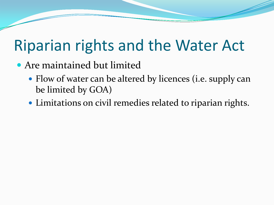#### Riparian rights and the Water Act

- Are maintained but limited
	- Flow of water can be altered by licences (i.e. supply can be limited by GOA)
	- Limitations on civil remedies related to riparian rights.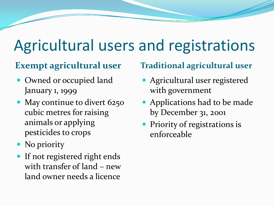#### Agricultural users and registrations

- Owned or occupied land January 1, 1999
- May continue to divert 6250 cubic metres for raising animals or applying pesticides to crops
- No priority
- If not registered right ends with transfer of land – new land owner needs a licence

#### **Exempt agricultural user Traditional agricultural user**

- Agricultural user registered with government
- Applications had to be made by December 31, 2001
- **Priority of registrations is** enforceable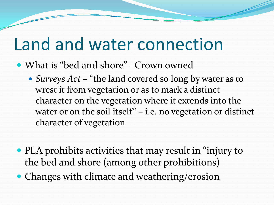#### Land and water connection

- What is "bed and shore" –Crown owned
	- *Surveys Act* "the land covered so long by water as to wrest it from vegetation or as to mark a distinct character on the vegetation where it extends into the water or on the soil itself" – i.e. no vegetation or distinct character of vegetation
- PLA prohibits activities that may result in "injury to the bed and shore (among other prohibitions)
- Changes with climate and weathering/erosion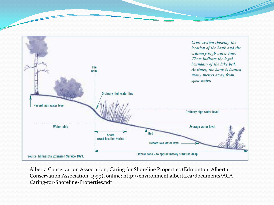

Alberta Conservation Association, Caring for Shoreline Properties (Edmonton: Alberta Conservation Association, 1999), online: http://environment.alberta.ca/documents/ACA-Caring-for-Shoreline-Properties.pdf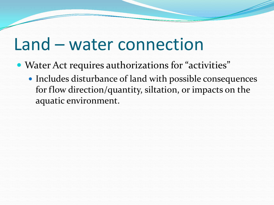#### Land – water connection

- Water Act requires authorizations for "activities"
	- Includes disturbance of land with possible consequences for flow direction/quantity, siltation, or impacts on the aquatic environment.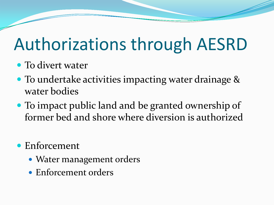# Authorizations through AESRD

- To divert water
- To undertake activities impacting water drainage & water bodies
- To impact public land and be granted ownership of former bed and shore where diversion is authorized
- Enforcement
	- Water management orders
	- Enforcement orders